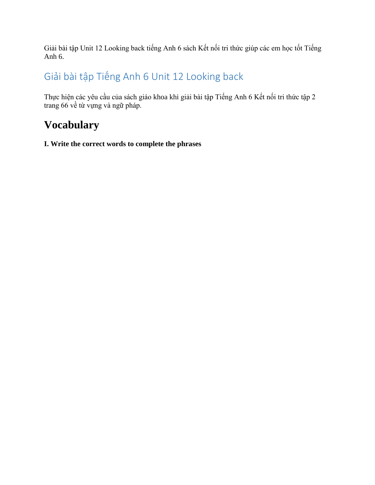Giải bài tập Unit 12 Looking back tiếng Anh 6 sách Kết nối tri thức giúp các em học tốt Tiếng Anh 6.

## Giải bài tập Tiếng Anh 6 Unit 12 Looking back

Thực hiện các yêu cầu của sách giáo khoa khi [giải bài tập Tiếng Anh 6](https://doctailieu.com/giai-bai-tap-tieng-anh-6-ket-noi-tri-thuc-global-success) Kết nối tri thức tập 2 trang 66 về từ vựng và ngữ pháp.

# **Vocabulary**

**I. Write the correct words to complete the phrases**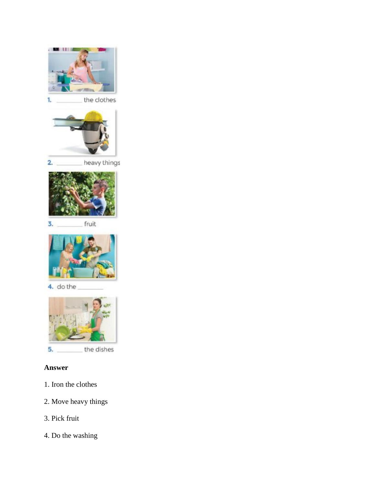

the clothes 1.



 $2.$ heavy things



fruit 3.



4. do the



5. the dishes

### **Answer**

- 1. Iron the clothes
- 2. Move heavy things
- 3. Pick fruit
- 4. Do the washing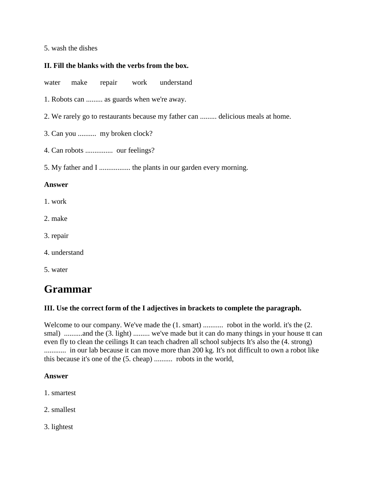### 5. wash the dishes

### **II. Fill the blanks with the verbs from the box.**

water make repair work understand

- 1. Robots can ......... as guards when we're away.
- 2. We rarely go to restaurants because my father can ......... delicious meals at home.
- 3. Can you .......... my broken clock?
- 4. Can robots ............... our feelings?
- 5. My father and I ................. the plants in our garden every morning.

#### **Answer**

- 1. work
- 2. make
- 3. repair
- 4. understand
- 5. water

## **Grammar**

### **III. Use the correct form of the I adjectives in brackets to complete the paragraph.**

Welcome to our company. We've made the  $(1. \text{ smart})$  ............ robot in the world. it's the  $(2. \text{$ smal) ..........and the (3. light) ......... we've made but it can do many things in your house tt can even fly to clean the ceilings It can teach chadren all school subjects It's also the (4. strong) ............ in our lab because it can move more than 200 kg. It's not difficult to own a robot like this because it's one of the (5. cheap) .......... robots in the world,

### **Answer**

- 1. smartest
- 2. smallest
- 3. lightest